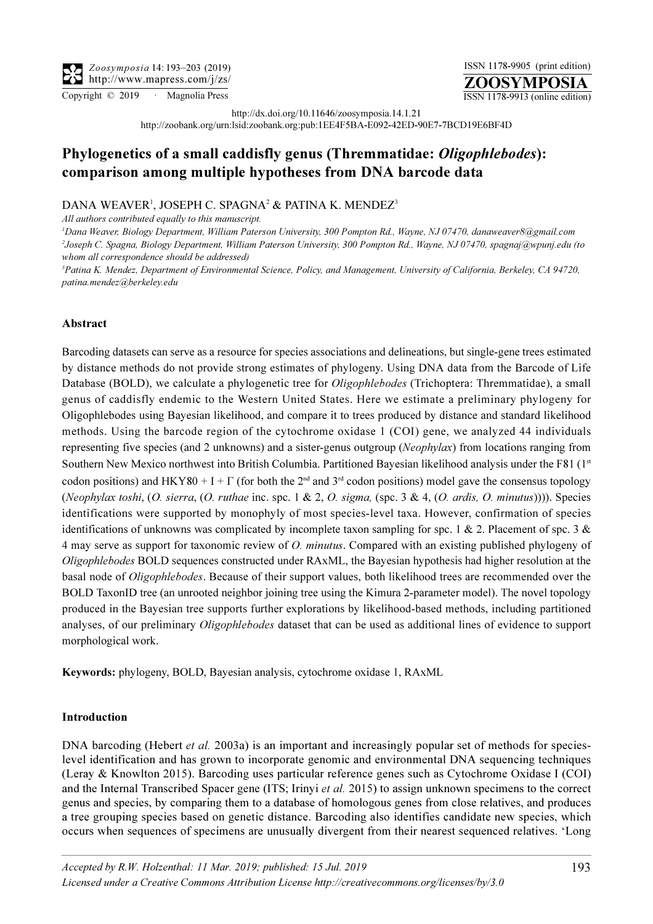ZOOSYMPOSIA ISSN 1178-9905 (print edition) Copyright © 2019 · Magnolia Press ISSN 1178-9913 (online edition)

http://dx.doi.org/10.11646/zoosymposia.14.1.21

http://zoobank.org/urn:lsid:zoobank.org:pub:1EE4F5BA-E092-42ED-90E7-7BCD19E6BF4D

# Phylogenetics of a small caddisfly genus (Thremmatidae: Oligophlebodes): comparison among multiple hypotheses from DNA barcode data

# DANA WEAVER<sup>1</sup>, JOSEPH C. SPAGNA<sup>2</sup> & PATINA K. MENDEZ<sup>3</sup>

All authors contributed equally to this manuscript.

<sup>1</sup>[Dana Weaver, Biology Department, William Paterson University, 300 Pompton Rd., Wayne, NJ 07470, danaweaver8@gmail.com](mailto:danaweaver8@gmail.com) 2 [Joseph C. Spagna, Biology Department, William Paterson University, 300 Pompton Rd., Wayne, NJ 07470, spagnaj@wpunj.edu \(to](mailto:spagnaj@wpunj.edu)  [whom all correspondence should be addressed\)](mailto:spagnaj@wpunj.edu)

<sup>3</sup> Patina K. Mendez, Department of Environmental Science, Policy, and Management, University of California, Berkeley, CA 94720, [patina.mendez@berkeley.edu](mailto:patina.mendez@berkeley.edu)

# Abstract

Barcoding datasets can serve as a resource for species associations and delineations, but single-gene trees estimated by distance methods do not provide strong estimates of phylogeny. Using DNA data from the Barcode of Life Database (BOLD), we calculate a phylogenetic tree for *Oligophlebodes* (Trichoptera: Thremmatidae), a small genus of caddisfly endemic to the Western United States. Here we estimate a preliminary phylogeny for Oligophlebodes using Bayesian likelihood, and compare it to trees produced by distance and standard likelihood methods. Using the barcode region of the cytochrome oxidase 1 (COI) gene, we analyzed 44 individuals representing five species (and 2 unknowns) and a sister-genus outgroup (Neophylax) from locations ranging from Southern New Mexico northwest into British Columbia. Partitioned Bayesian likelihood analysis under the F81 (1st codon positions) and HKY80 + I +  $\Gamma$  (for both the 2<sup>nd</sup> and 3<sup>rd</sup> codon positions) model gave the consensus topology (Neophylax toshi,  $(O.$  sierra,  $(O.$  ruthae inc. spc. 1 & 2,  $O.$  sigma, (spc. 3 & 4,  $(O.$  ardis,  $O.$  minutus)))). Species identifications were supported by monophyly of most species-level taxa. However, confirmation of species identifications of unknowns was complicated by incomplete taxon sampling for spc. 1 & 2. Placement of spc. 3 & 4 may serve as support for taxonomic review of *O. minutus*. Compared with an existing published phylogeny of Oligophlebodes BOLD sequences constructed under RAxML, the Bayesian hypothesis had higher resolution at the basal node of Oligophlebodes. Because of their support values, both likelihood trees are recommended over the BOLD TaxonID tree (an unrooted neighbor joining tree using the Kimura 2-parameter model). The novel topology produced in the Bayesian tree supports further explorations by likelihood-based methods, including partitioned analyses, of our preliminary Oligophlebodes dataset that can be used as additional lines of evidence to support morphological work.

Keywords: phylogeny, BOLD, Bayesian analysis, cytochrome oxidase 1, RAxML

#### Introduction

DNA barcoding (Hebert *et al.* 2003a) is an important and increasingly popular set of methods for specieslevel identification and has grown to incorporate genomic and environmental DNA sequencing techniques (Leray & Knowlton 2015). Barcoding uses particular reference genes such as Cytochrome Oxidase I (COI) and the Internal Transcribed Spacer gene (ITS; Irinyi et al. 2015) to assign unknown specimens to the correct genus and species, by comparing them to a database of homologous genes from close relatives, and produces a tree grouping species based on genetic distance. Barcoding also identifies candidate new species, which occurs when sequences of specimens are unusually divergent from their nearest sequenced relatives. 'Long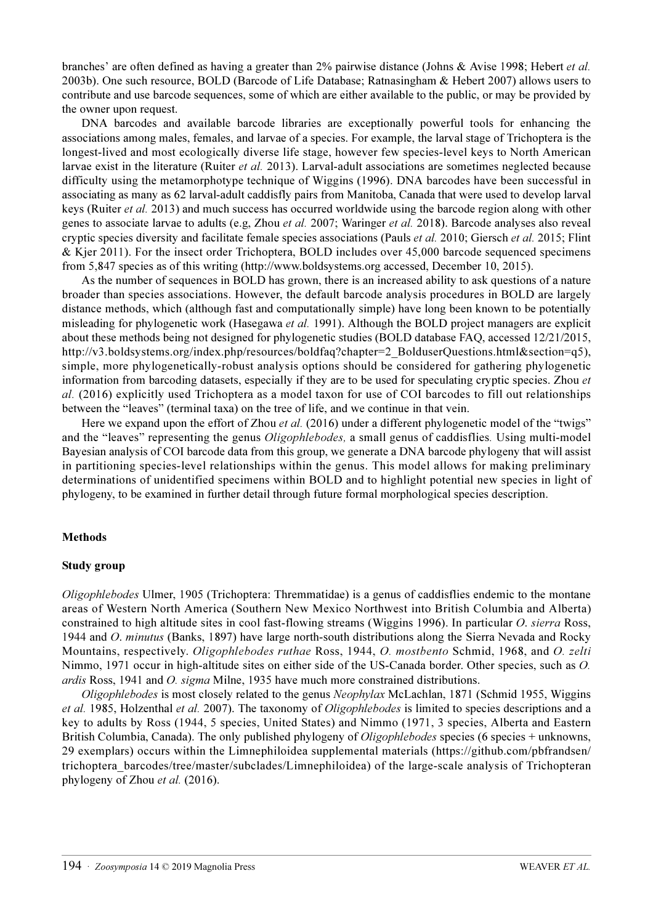branches' are often defined as having a greater than 2% pairwise distance (Johns & Avise 1998; Hebert et al. 2003b). One such resource, BOLD (Barcode of Life Database; Ratnasingham & Hebert 2007) allows users to contribute and use barcode sequences, some of which are either available to the public, or may be provided by the owner upon request.

DNA barcodes and available barcode libraries are exceptionally powerful tools for enhancing the associations among males, females, and larvae of a species. For example, the larval stage of Trichoptera is the longest-lived and most ecologically diverse life stage, however few species-level keys to North American larvae exist in the literature (Ruiter et al. 2013). Larval-adult associations are sometimes neglected because difficulty using the metamorphotype technique of Wiggins (1996). DNA barcodes have been successful in associating as many as 62 larval-adult caddisfly pairs from Manitoba, Canada that were used to develop larval keys (Ruiter *et al.* 2013) and much success has occurred worldwide using the barcode region along with other genes to associate larvae to adults (e.g, Zhou et al. 2007; Waringer et al. 2018). Barcode analyses also reveal cryptic species diversity and facilitate female species associations (Pauls et al. 2010; Giersch et al. 2015; Flint & Kjer 2011). For the insect order Trichoptera, BOLD includes over 45,000 barcode sequenced specimens from 5,847 species as of this writing (http://www.boldsystems.org accessed, December 10, 2015).

As the number of sequences in BOLD has grown, there is an increased ability to ask questions of a nature broader than species associations. However, the default barcode analysis procedures in BOLD are largely distance methods, which (although fast and computationally simple) have long been known to be potentially misleading for phylogenetic work (Hasegawa et al. 1991). Although the BOLD project managers are explicit about these methods being not designed for phylogenetic studies (BOLD database FAQ, accessed 12/21/2015, http://v3.boldsystems.org/index.php/resources/boldfaq?chapter=2\_BolduserQuestions.html&section=q5), simple, more phylogenetically-robust analysis options should be considered for gathering phylogenetic information from barcoding datasets, especially if they are to be used for speculating cryptic species. Zhou et al. (2016) explicitly used Trichoptera as a model taxon for use of COI barcodes to fill out relationships between the "leaves" (terminal taxa) on the tree of life, and we continue in that vein.

Here we expand upon the effort of Zhou *et al.* (2016) under a different phylogenetic model of the "twigs" and the "leaves" representing the genus Oligophlebodes, a small genus of caddisflies. Using multi-model Bayesian analysis of COI barcode data from this group, we generate a DNA barcode phylogeny that will assist in partitioning species-level relationships within the genus. This model allows for making preliminary determinations of unidentified specimens within BOLD and to highlight potential new species in light of phylogeny, to be examined in further detail through future formal morphological species description.

#### Methods

#### Study group

Oligophlebodes Ulmer, 1905 (Trichoptera: Thremmatidae) is a genus of caddisflies endemic to the montane areas of Western North America (Southern New Mexico Northwest into British Columbia and Alberta) constrained to high altitude sites in cool fast-flowing streams (Wiggins 1996). In particular O. sierra Ross, 1944 and O. minutus (Banks, 1897) have large north-south distributions along the Sierra Nevada and Rocky Mountains, respectively. Oligophlebodes ruthae Ross, 1944, O. mostbento Schmid, 1968, and O. zelti Nimmo, 1971 occur in high-altitude sites on either side of the US-Canada border. Other species, such as O. ardis Ross, 1941 and O. sigma Milne, 1935 have much more constrained distributions.

Oligophlebodes is most closely related to the genus Neophylax McLachlan, 1871 (Schmid 1955, Wiggins et al. 1985, Holzenthal et al. 2007). The taxonomy of Oligophlebodes is limited to species descriptions and a key to adults by Ross (1944, 5 species, United States) and Nimmo (1971, 3 species, Alberta and Eastern British Columbia, Canada). The only published phylogeny of *Oligophlebodes* [species \(6 species + unknowns,](https://github.com/pbfrandsen/trichoptera_barcodes/tree/master/subclades/Limnephiloidea) [29 exemplars\) occurs within the Limnephiloidea supplemental materials \(https://github.com/pbfrandsen/](https://github.com/pbfrandsen/trichoptera_barcodes/tree/master/subclades/Limnephiloidea) trichoptera\_barcodes/tree/master/subclades/Limnephiloidea) of the large-scale analysis of Trichopteran [phylogeny of Zhou](https://github.com/pbfrandsen/trichoptera_barcodes/tree/master/subclades/Limnephiloidea) et al. (2016).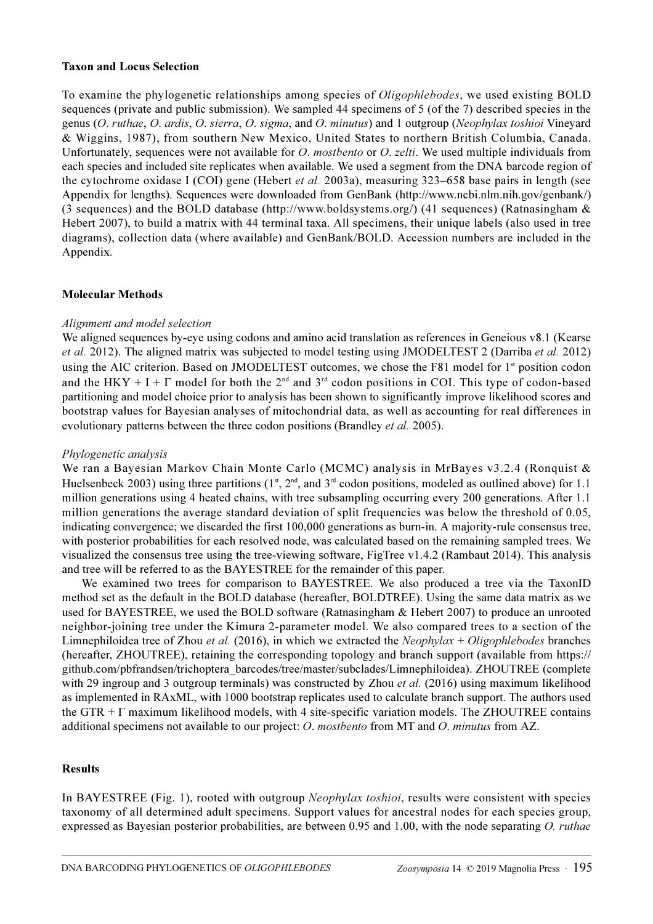#### Taxon and Locus Selection

To examine the phylogenetic relationships among species of *Oligophlebodes*, we used existing BOLD sequences (private and public submission). We sampled 44 specimens of 5 (of the 7) described species in the genus (O. ruthae, O. ardis, O. sierra, O. sigma, and O. minutus) and 1 outgroup (Neophylax toshioi Vineyard & Wiggins, 1987), from southern New Mexico, United States to northern British Columbia, Canada. Unfortunately, sequences were not available for *O. mostbento* or *O. zelti*. We used multiple individuals from each species and included site replicates when available. We used a segment from the DNA barcode region of the cytochrome oxidase I (COI) gene (Hebert et al. 2003a), measuring 323–658 base pairs in length (see Appendix for lengths). Sequences were downloaded from GenBank (http://www.ncbi.nlm.nih.gov/genbank/) (3 sequences) and the BOLD database (http://www.boldsystems.org/) (41 sequences) (Ratnasingham & Hebert 2007), to build a matrix with 44 terminal taxa. All specimens, their unique labels (also used in tree diagrams), collection data (where available) and GenBank/BOLD. Accession numbers are included in the Appendix.

#### Molecular Methods

# Alignment and model selection

We aligned sequences by-eye using codons and amino acid translation as references in Geneious v8.1 (Kearse et al. 2012). The aligned matrix was subjected to model testing using JMODELTEST 2 (Darriba et al. 2012) using the AIC criterion. Based on JMODELTEST outcomes, we chose the F81 model for 1<sup>st</sup> position codon and the HKY + I +  $\Gamma$  model for both the 2<sup>nd</sup> and 3<sup>rd</sup> codon positions in COI. This type of codon-based partitioning and model choice prior to analysis has been shown to significantly improve likelihood scores and bootstrap values for Bayesian analyses of mitochondrial data, as well as accounting for real differences in evolutionary patterns between the three codon positions (Brandley et al. 2005).

#### Phylogenetic analysis

We ran a Bayesian Markov Chain Monte Carlo (MCMC) analysis in MrBayes v3.2.4 (Ronquist & Huelsenbeck 2003) using three partitions ( $1<sup>st</sup>$ ,  $2<sup>nd</sup>$ , and  $3<sup>rd</sup>$  codon positions, modeled as outlined above) for 1.1 million generations using 4 heated chains, with tree subsampling occurring every 200 generations. After 1.1 million generations the average standard deviation of split frequencies was below the threshold of 0.05, indicating convergence; we discarded the first 100,000 generations as burn-in. A majority-rule consensus tree, with posterior probabilities for each resolved node, was calculated based on the remaining sampled trees. We visualized the consensus tree using the tree-viewing software, FigTree v1.4.2 (Rambaut 2014). This analysis and tree will be referred to as the BAYESTREE for the remainder of this paper.

We examined two trees for comparison to BAYESTREE. We also produced a tree via the TaxonID method set as the default in the BOLD database (hereafter, BOLDTREE). Using the same data matrix as we used for BAYESTREE, we used the BOLD software (Ratnasingham & Hebert 2007) to produce an unrooted neighbor-joining tree under the Kimura 2-parameter model. We also compared trees to a section of the Limnephiloidea tree of Zhou et al. (2016), in which we extracted the Neophylax + Oligophlebodes [branches](https://github.com/pbfrandsen/trichoptera_barcodes/tree/master/subclades/Limnephiloidea) [\(hereafter, ZHOUTREE\), retaining the corresponding topology and branch support \(available from https://](https://github.com/pbfrandsen/trichoptera_barcodes/tree/master/subclades/Limnephiloidea) github.com/pbfrandsen/trichoptera\_barcodes/tree/master/subclades/Limnephiloidea). ZHOUTREE (complete [with 29 ingroup and 3 outgroup terminals\) was constructed by Zhou](https://github.com/pbfrandsen/trichoptera_barcodes/tree/master/subclades/Limnephiloidea) *et al.* (2016) using maximum likelihood as implemented in RAxML, with 1000 bootstrap replicates used to calculate branch support. The authors used the GTR + Γ maximum likelihood models, with 4 site-specific variation models. The ZHOUTREE contains additional specimens not available to our project: O. mostbento from MT and O. minutus from AZ.

#### Results

In BAYESTREE (Fig. 1), rooted with outgroup Neophylax toshioi, results were consistent with species taxonomy of all determined adult specimens. Support values for ancestral nodes for each species group, expressed as Bayesian posterior probabilities, are between 0.95 and 1.00, with the node separating O. ruthae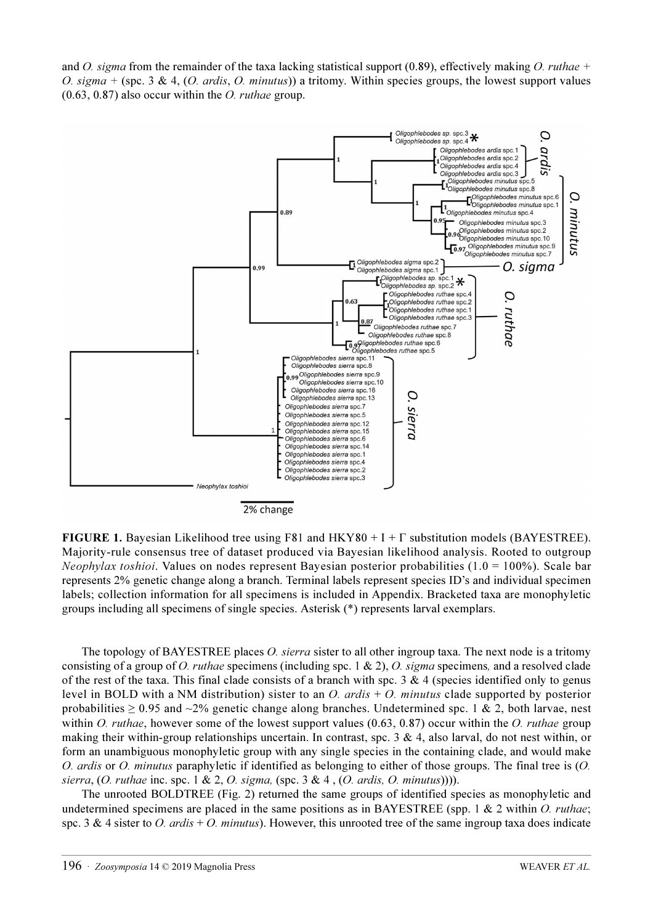and O. sigma from the remainder of the taxa lacking statistical support (0.89), effectively making O. ruthae + O. sigma + (spc. 3 & 4, (O. ardis, O. minutus)) a tritomy. Within species groups, the lowest support values  $(0.63, 0.87)$  also occur within the *O. ruthae* group.



2% change

**FIGURE 1.** Bayesian Likelihood tree using F81 and  $HKY80 + I + \Gamma$  substitution models (BAYESTREE). Majority-rule consensus tree of dataset produced via Bayesian likelihood analysis. Rooted to outgroup *Neophylax toshioi.* Values on nodes represent Bayesian posterior probabilities (1.0 = 100%). Scale bar represents 2% genetic change along a branch. Terminal labels represent species ID's and individual specimen labels; collection information for all specimens is included in Appendix. Bracketed taxa are monophyletic groups including all specimens of single species. Asterisk (\*) represents larval exemplars.

The topology of BAYESTREE places *O. sierra* sister to all other ingroup taxa. The next node is a tritomy consisting of a group of O. ruthae specimens (including spc. 1 & 2), O. sigma specimens, and a resolved clade of the rest of the taxa. This final clade consists of a branch with spc. 3 & 4 (species identified only to genus level in BOLD with a NM distribution) sister to an O. ardis  $+$  O. minutus clade supported by posterior probabilities  $\geq 0.95$  and  $\sim$ 2% genetic change along branches. Undetermined spc. 1 & 2, both larvae, nest within O. ruthae, however some of the lowest support values  $(0.63, 0.87)$  occur within the O. ruthae group making their within-group relationships uncertain. In contrast, spc.  $3 \& 4$ , also larval, do not nest within, or form an unambiguous monophyletic group with any single species in the containing clade, and would make O. ardis or O. minutus paraphyletic if identified as belonging to either of those groups. The final tree is (O. sierra,  $(O. \text{ ruthae inc. spec. 1 & 2, O. sigma, (spec. 3 & 4, (O. \text{ardis, } O. \text{ minutus}))))$ .

The unrooted BOLDTREE (Fig. 2) returned the same groups of identified species as monophyletic and undetermined specimens are placed in the same positions as in BAYESTREE (spp. 1 & 2 within O. ruthae; spc. 3 & 4 sister to O. ardis + O. minutus). However, this unrooted tree of the same ingroup taxa does indicate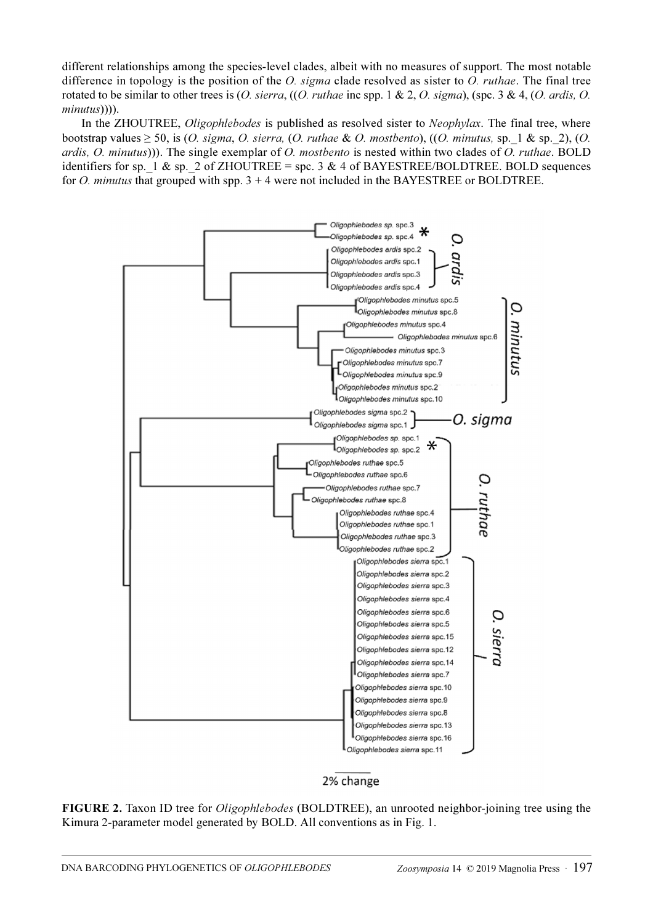different relationships among the species-level clades, albeit with no measures of support. The most notable difference in topology is the position of the O. sigma clade resolved as sister to O. ruthae. The final tree rotated to be similar to other trees is  $(O.$  sierra,  $((O.$  ruthae inc spp. 1 & 2,  $O.$  sigma), (spc. 3 & 4,  $(O.$  ardis,  $O.$ minutus)))).

In the ZHOUTREE, Oligophlebodes is published as resolved sister to Neophylax. The final tree, where bootstrap values  $\geq 50$ , is (O. sigma, O. sierra, (O. ruthae & O. mostbento), ((O. minutus, sp. 1 & sp. 2), (O. ardis, O. minutus))). The single exemplar of O. mostbento is nested within two clades of O. ruthae. BOLD identifiers for sp. 1 & sp. 2 of ZHOUTREE = spc. 3 & 4 of BAYESTREE/BOLDTREE. BOLD sequences for O. minutus that grouped with spp.  $3 + 4$  were not included in the BAYESTREE or BOLDTREE.



2% change

FIGURE 2. Taxon ID tree for Oligophlebodes (BOLDTREE), an unrooted neighbor-joining tree using the Kimura 2-parameter model generated by BOLD. All conventions as in Fig. 1.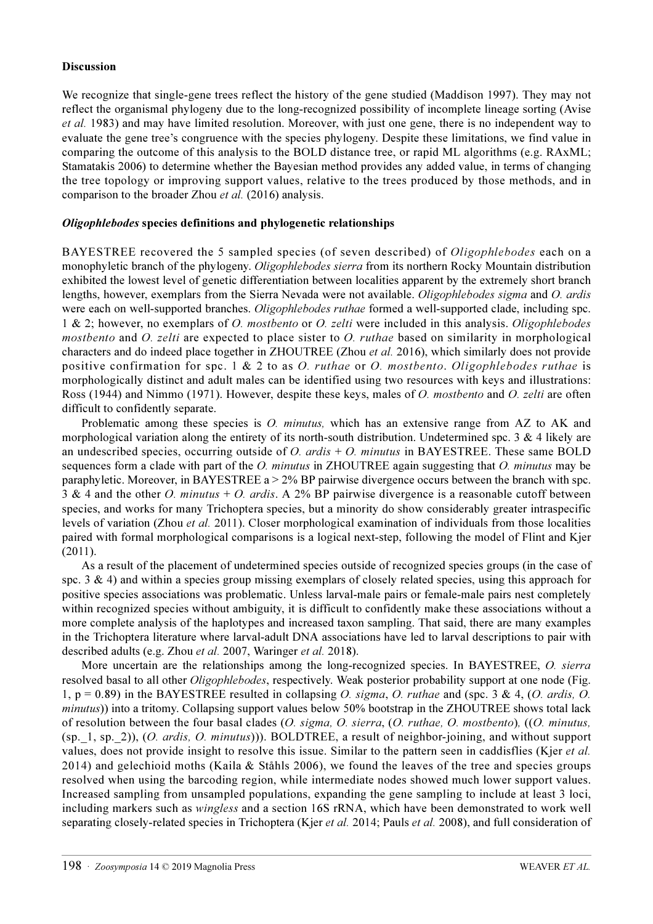#### Discussion

We recognize that single-gene trees reflect the history of the gene studied (Maddison 1997). They may not reflect the organismal phylogeny due to the long-recognized possibility of incomplete lineage sorting (Avise et al. 1983) and may have limited resolution. Moreover, with just one gene, there is no independent way to evaluate the gene tree's congruence with the species phylogeny. Despite these limitations, we find value in comparing the outcome of this analysis to the BOLD distance tree, or rapid ML algorithms (e.g. RAxML; Stamatakis 2006) to determine whether the Bayesian method provides any added value, in terms of changing the tree topology or improving support values, relative to the trees produced by those methods, and in comparison to the broader Zhou et al. (2016) analysis.

### Oligophlebodes species definitions and phylogenetic relationships

BAYESTREE recovered the 5 sampled species (of seven described) of *Oligophlebodes* each on a monophyletic branch of the phylogeny. Oligophlebodes sierra from its northern Rocky Mountain distribution exhibited the lowest level of genetic differentiation between localities apparent by the extremely short branch lengths, however, exemplars from the Sierra Nevada were not available. Oligophlebodes sigma and O. ardis were each on well-supported branches. Oligophlebodes ruthae formed a well-supported clade, including spc. 1 & 2; however, no exemplars of O. mostbento or O. zelti were included in this analysis. Oligophlebodes mostbento and O. zelti are expected to place sister to O. ruthae based on similarity in morphological characters and do indeed place together in ZHOUTREE (Zhou et al. 2016), which similarly does not provide positive confirmation for spc. 1 & 2 to as O. ruthae or O. mostbento. Oligophlebodes ruthae is morphologically distinct and adult males can be identified using two resources with keys and illustrations: Ross (1944) and Nimmo (1971). However, despite these keys, males of O. mostbento and O. zelti are often difficult to confidently separate.

Problematic among these species is *O. minutus*, which has an extensive range from AZ to AK and morphological variation along the entirety of its north-south distribution. Undetermined spc. 3 & 4 likely are an undescribed species, occurring outside of  $O$ . ardis  $+ O$ . minutus in BAYESTREE. These same BOLD sequences form a clade with part of the O. minutus in ZHOUTREE again suggesting that O. minutus may be paraphyletic. Moreover, in BAYESTREE  $a > 2\%$  BP pairwise divergence occurs between the branch with spc. 3 & 4 and the other O. minutus + O. ardis. A 2% BP pairwise divergence is a reasonable cutoff between species, and works for many Trichoptera species, but a minority do show considerably greater intraspecific levels of variation (Zhou et al. 2011). Closer morphological examination of individuals from those localities paired with formal morphological comparisons is a logical next-step, following the model of Flint and Kjer (2011).

As a result of the placement of undetermined species outside of recognized species groups (in the case of spc. 3  $\&$  4) and within a species group missing exemplars of closely related species, using this approach for positive species associations was problematic. Unless larval-male pairs or female-male pairs nest completely within recognized species without ambiguity, it is difficult to confidently make these associations without a more complete analysis of the haplotypes and increased taxon sampling. That said, there are many examples in the Trichoptera literature where larval-adult DNA associations have led to larval descriptions to pair with described adults (e.g. Zhou et al. 2007, Waringer et al. 2018).

More uncertain are the relationships among the long-recognized species. In BAYESTREE, O. sierra resolved basal to all other Oligophlebodes, respectively. Weak posterior probability support at one node (Fig. 1,  $p = 0.89$ ) in the BAYESTREE resulted in collapsing O. sigma, O. ruthae and (spc. 3 & 4, (O. ardis, O. minutus)) into a tritomy. Collapsing support values below 50% bootstrap in the ZHOUTREE shows total lack of resolution between the four basal clades (O. sigma, O. sierra, (O. ruthae, O. mostbento), ((O. minutus, (sp.\_1, sp.\_2)), (O. ardis, O. minutus))). BOLDTREE, a result of neighbor-joining, and without support values, does not provide insight to resolve this issue. Similar to the pattern seen in caddisflies (Kjer *et al.*) 2014) and gelechioid moths (Kaila & Ståhls 2006), we found the leaves of the tree and species groups resolved when using the barcoding region, while intermediate nodes showed much lower support values. Increased sampling from unsampled populations, expanding the gene sampling to include at least 3 loci, including markers such as wingless and a section 16S rRNA, which have been demonstrated to work well separating closely-related species in Trichoptera (Kjer *et al.* 2014; Pauls *et al.* 2008), and full consideration of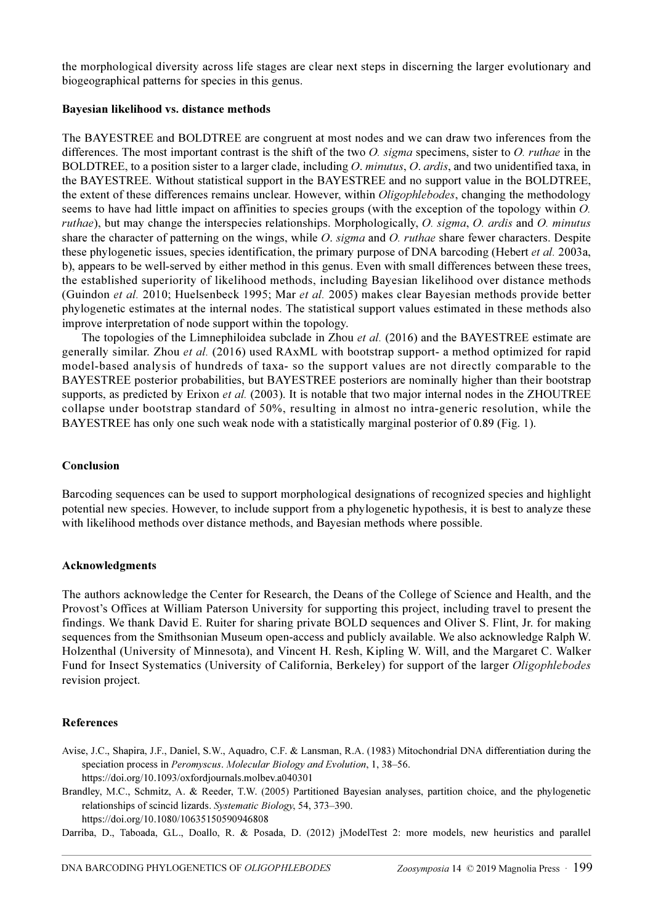the morphological diversity across life stages are clear next steps in discerning the larger evolutionary and biogeographical patterns for species in this genus.

#### Bayesian likelihood vs. distance methods

The BAYESTREE and BOLDTREE are congruent at most nodes and we can draw two inferences from the differences. The most important contrast is the shift of the two  $O$ , sigma specimens, sister to  $O$ , ruthae in the BOLDTREE, to a position sister to a larger clade, including O. minutus, O. ardis, and two unidentified taxa, in the BAYESTREE. Without statistical support in the BAYESTREE and no support value in the BOLDTREE, the extent of these differences remains unclear. However, within Oligophlebodes, changing the methodology seems to have had little impact on affinities to species groups (with the exception of the topology within O. ruthae), but may change the interspecies relationships. Morphologically, O. sigma, O. ardis and O. minutus share the character of patterning on the wings, while O. sigma and O. ruthae share fewer characters. Despite these phylogenetic issues, species identification, the primary purpose of DNA barcoding (Hebert *et al.* 2003a, b), appears to be well-served by either method in this genus. Even with small differences between these trees, the established superiority of likelihood methods, including Bayesian likelihood over distance methods (Guindon et al. 2010; Huelsenbeck 1995; Mar et al. 2005) makes clear Bayesian methods provide better phylogenetic estimates at the internal nodes. The statistical support values estimated in these methods also improve interpretation of node support within the topology.

The topologies of the Limnephiloidea subclade in Zhou et al. (2016) and the BAYESTREE estimate are generally similar. Zhou et al. (2016) used RAxML with bootstrap support- a method optimized for rapid model-based analysis of hundreds of taxa- so the support values are not directly comparable to the BAYESTREE posterior probabilities, but BAYESTREE posteriors are nominally higher than their bootstrap supports, as predicted by Erixon et al. (2003). It is notable that two major internal nodes in the ZHOUTREE collapse under bootstrap standard of 50%, resulting in almost no intra-generic resolution, while the BAYESTREE has only one such weak node with a statistically marginal posterior of 0.89 (Fig. 1).

#### Conclusion

Barcoding sequences can be used to support morphological designations of recognized species and highlight potential new species. However, to include support from a phylogenetic hypothesis, it is best to analyze these with likelihood methods over distance methods, and Bayesian methods where possible.

#### Acknowledgments

The authors acknowledge the Center for Research, the Deans of the College of Science and Health, and the Provost's Offices at William Paterson University for supporting this project, including travel to present the findings. We thank David E. Ruiter for sharing private BOLD sequences and Oliver S. Flint, Jr. for making sequences from the Smithsonian Museum open-access and publicly available. We also acknowledge Ralph W. Holzenthal (University of Minnesota), and Vincent H. Resh, Kipling W. Will, and the Margaret C. Walker Fund for Insect Systematics (University of California, Berkeley) for support of the larger Oligophlebodes revision project.

#### References

Avise, J.C., Shapira, J.F., Daniel, S.W., Aquadro, C.F. & Lansman, R.A. (1983) Mitochondrial DNA differentiation during the speciation process in Peromyscus. Molecular Biology and Evolution, 1, 38–56.

<https://doi.org/10.1093/oxfordjournals.molbev.a040301>

Brandley, M.C., Schmitz, A. & Reeder, T.W. (2005) Partitioned Bayesian analyses, partition choice, and the phylogenetic relationships of scincid lizards. Systematic Biology, 54, 373–390. <https://doi.org/10.1080/10635150590946808>

Darriba, D., Taboada, G.L., Doallo, R. & Posada, D. (2012) jModelTest 2: more models, new heuristics and parallel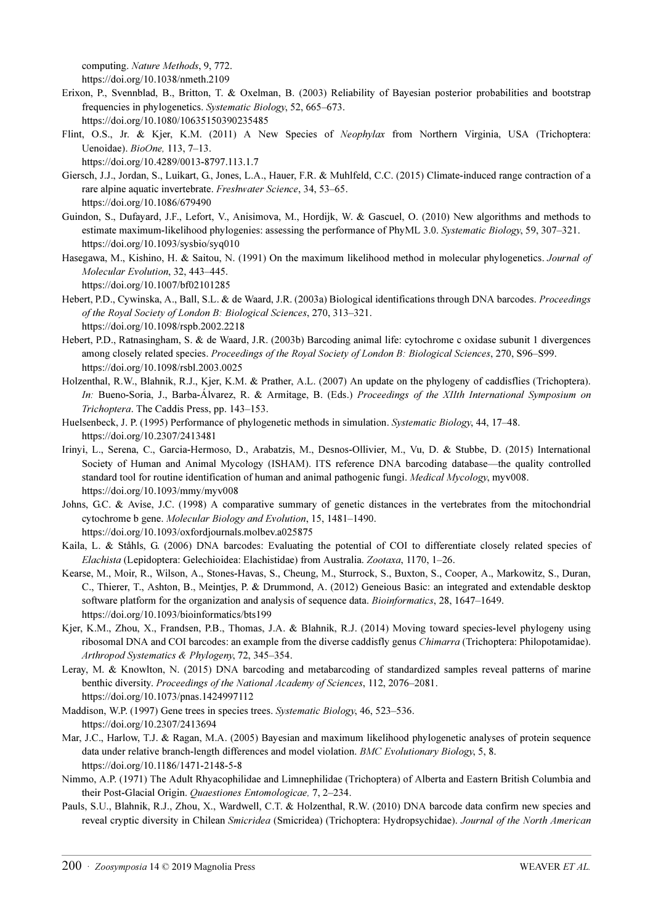computing. Nature Methods, 9, 772.

<https://doi.org/10.1038/nmeth.2109>

- Erixon, P., Svennblad, B., Britton, T. & Oxelman, B. (2003) Reliability of Bayesian posterior probabilities and bootstrap frequencies in phylogenetics. Systematic Biology, 52, 665–673. <https://doi.org/10.1080/10635150390235485>
- Flint, O.S., Jr. & Kjer, K.M. (2011) A New Species of Neophylax from Northern Virginia, USA (Trichoptera: Uenoidae). BioOne, 113, 7–13.
	- <https://doi.org/10.4289/0013-8797.113.1.7>
- Giersch, J.J., Jordan, S., Luikart, G., Jones, L.A., Hauer, F.R. & Muhlfeld, C.C. (2015) Climate-induced range contraction of a rare alpine aquatic invertebrate. Freshwater Science, 34, 53–65. <https://doi.org/10.1086/679490>
- Guindon, S., Dufayard, J.F., Lefort, V., Anisimova, M., Hordijk, W. & Gascuel, O. (2010) New algorithms and methods to estimate maximum-likelihood phylogenies: assessing the performance of PhyML 3.0. Systematic Biology, 59, 307–321. <https://doi.org/10.1093/sysbio/syq010>
- Hasegawa, M., Kishino, H. & Saitou, N. (1991) On the maximum likelihood method in molecular phylogenetics. Journal of Molecular Evolution, 32, 443–445.
	- <https://doi.org/10.1007/bf02101285>
- Hebert, P.D., Cywinska, A., Ball, S.L. & de Waard, J.R. (2003a) Biological identifications through DNA barcodes. Proceedings of the Royal Society of London B: Biological Sciences, 270, 313–321. <https://doi.org/10.1098/rspb.2002.2218>
- Hebert, P.D., Ratnasingham, S. & de Waard, J.R. (2003b) Barcoding animal life: cytochrome c oxidase subunit 1 divergences among closely related species. Proceedings of the Royal Society of London B: Biological Sciences, 270, S96–S99. <https://doi.org/10.1098/rsbl.2003.0025>
- Holzenthal, R.W., Blahnik, R.J., Kjer, K.M. & Prather, A.L. (2007) An update on the phylogeny of caddisflies (Trichoptera). In: Bueno-Soria, J., Barba-Álvarez, R. & Armitage, B. (Eds.) Proceedings of the XIIth International Symposium on Trichoptera. The Caddis Press, pp. 143–153.
- Huelsenbeck, J. P. (1995) Performance of phylogenetic methods in simulation. Systematic Biology, 44, 17–48. https://doi.org/10.2307/2413481
- Irinyi, L., Serena, C., Garcia-Hermoso, D., Arabatzis, M., Desnos-Ollivier, M., Vu, D. & Stubbe, D. (2015) International Society of Human and Animal Mycology (ISHAM). ITS reference DNA barcoding database—the quality controlled standard tool for routine identification of human and animal pathogenic fungi. Medical Mycology, myv008. <https://doi.org/10.1093/mmy/myv008>
- Johns, G.C. & Avise, J.C. (1998) A comparative summary of genetic distances in the vertebrates from the mitochondrial cytochrome b gene. Molecular Biology and Evolution, 15, 1481–1490. <https://doi.org/10.1093/oxfordjournals.molbev.a025875>
- Kaila, L. & Ståhls, G. (2006) DNA barcodes: Evaluating the potential of COI to differentiate closely related species of Elachista (Lepidoptera: Gelechioidea: Elachistidae) from Australia. Zootaxa, 1170, 1–26.
- Kearse, M., Moir, R., Wilson, A., Stones-Havas, S., Cheung, M., Sturrock, S., Buxton, S., Cooper, A., Markowitz, S., Duran, C., Thierer, T., Ashton, B., Meintjes, P. & Drummond, A. (2012) Geneious Basic: an integrated and extendable desktop software platform for the organization and analysis of sequence data. *Bioinformatics*, 28, 1647–1649. <https://doi.org/10.1093/bioinformatics/bts199>
- Kjer, K.M., Zhou, X., Frandsen, P.B., Thomas, J.A. & Blahnik, R.J. (2014) Moving toward species-level phylogeny using ribosomal DNA and COI barcodes: an example from the diverse caddisfly genus Chimarra (Trichoptera: Philopotamidae). Arthropod Systematics & Phylogeny, 72, 345–354.
- Leray, M. & Knowlton, N. (2015) DNA barcoding and metabarcoding of standardized samples reveal patterns of marine benthic diversity. Proceedings of the National Academy of Sciences, 112, 2076–2081. <https://doi.org/10.1073/pnas.1424997112>
- Maddison, W.P. (1997) Gene trees in species trees. Systematic Biology, 46, 523–536. <https://doi.org/10.2307/2413694>
- Mar, J.C., Harlow, T.J. & Ragan, M.A. (2005) Bayesian and maximum likelihood phylogenetic analyses of protein sequence data under relative branch-length differences and model violation. BMC Evolutionary Biology, 5, 8. <https://doi.org/10.1186/1471-2148-5-8>
- Nimmo, A.P. (1971) The Adult Rhyacophilidae and Limnephilidae (Trichoptera) of Alberta and Eastern British Columbia and their Post-Glacial Origin. Quaestiones Entomologicae, 7, 2–234.
- Pauls, S.U., Blahnik, R.J., Zhou, X., Wardwell, C.T. & Holzenthal, R.W. (2010) DNA barcode data confirm new species and reveal cryptic diversity in Chilean Smicridea (Smicridea) (Trichoptera: Hydropsychidae). Journal of the North American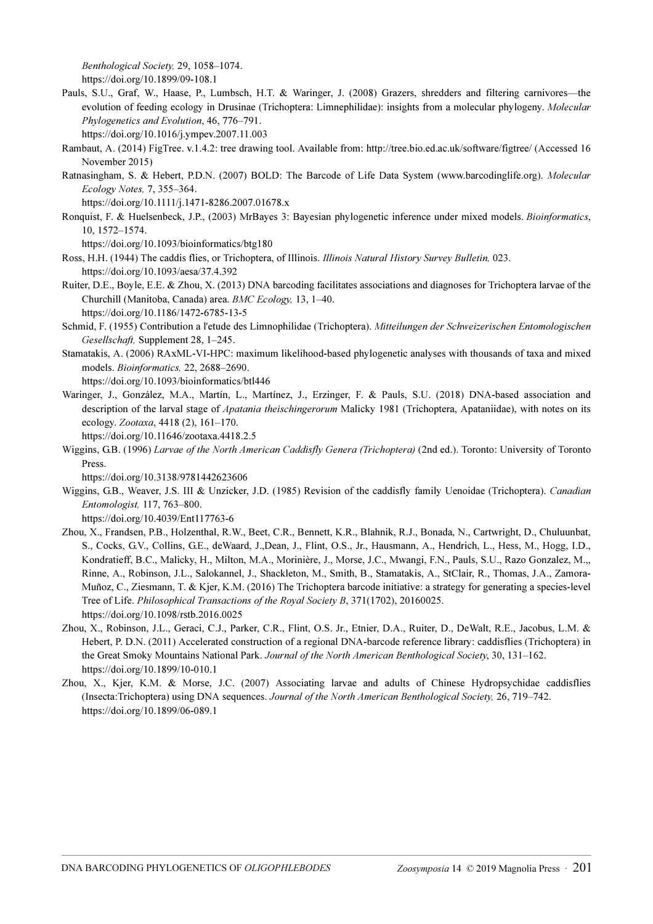Benthological Society, 29, 1058–1074.

<https://doi.org/10.1899/09-108.1>

- Pauls, S.U., Graf, W., Haase, P., Lumbsch, H.T. & Waringer, J. (2008) Grazers, shredders and filtering carnivores—the evolution of feeding ecology in Drusinae (Trichoptera: Limnephilidae): insights from a molecular phylogeny. Molecular Phylogenetics and Evolution, 46, 776–791.
	- <https://doi.org/10.1016/j.ympev.2007.11.003>
- Rambaut, A. (2014) FigTree. v.1.4.2: tree drawing tool. Available from: http://tree.bio.ed.ac.uk/software/figtree/ (Accessed 16 November 2015)
- Ratnasingham, S. & Hebert, P.D.N. (2007) BOLD: The Barcode of Life Data System (www.barcodinglife.org). Molecular Ecology Notes, 7, 355–364.

<https://doi.org/10.1111/j.1471-8286.2007.01678.x>

Ronquist, F. & Huelsenbeck, J.P., (2003) MrBayes 3: Bayesian phylogenetic inference under mixed models. Bioinformatics, 10, 1572–1574.

<https://doi.org/10.1093/bioinformatics/btg180>

- Ross, H.H. (1944) The caddis flies, or Trichoptera, of Illinois. Illinois Natural History Survey Bulletin, 023. https://doi.org/10.1093/aesa/37.4.392
- Ruiter, D.E., Boyle, E.E. & Zhou, X. (2013) DNA barcoding facilitates associations and diagnoses for Trichoptera larvae of the Churchill (Manitoba, Canada) area. BMC Ecology, 13, 1–40. <https://doi.org/10.1186/1472-6785-13-5>
- Schmid, F. (1955) Contribution a l'etude des Limnophilidae (Trichoptera). Mitteilungen der Schweizerischen Entomologischen Gesellschaft, Supplement 28, 1–245.
- Stamatakis, A. (2006) RAxML-VI-HPC: maximum likelihood-based phylogenetic analyses with thousands of taxa and mixed models. Bioinformatics, 22, 2688–2690.

<https://doi.org/10.1093/bioinformatics/btl446>

Waringer, J., González, M.A., Martín, L., Martínez, J., Erzinger, F. & Pauls, S.U. (2018) DNA-based association and description of the larval stage of *Apatania theischingerorum* Malicky 1981 (Trichoptera, Apataniidae), with notes on its ecology. Zootaxa[, 4418 \(2\), 161–170.](https://doi.org/10.11646/zootaxa.4418.2.5) 

<https://doi.org/10.11646/zootaxa.4418.2.5>

Wiggins, G.B. (1996) Larvae of the North American Caddisfly Genera (Trichoptera) (2nd ed.). Toronto: University of Toronto Press.

<https://doi.org/10.3138/9781442623606>

Wiggins, G.B., Weaver, J.S. III & Unzicker, J.D. (1985) Revision of the caddisfly family Uenoidae (Trichoptera). Canadian Entomologist, 117, 763–800.

<https://doi.org/10.4039/Ent117763-6>

- Zhou, X., Frandsen, P.B., Holzenthal, R.W., Beet, C.R., Bennett, K.R., Blahnik, R.J., Bonada, N., Cartwright, D., Chuluunbat, S., Cocks, G.V., Collins, G.E., deWaard, J.,Dean, J., Flint, O.S., Jr., Hausmann, A., Hendrich, L., Hess, M., Hogg, I.D., Kondratieff, B.C., Malicky, H., Milton, M.A., Morinière, J., Morse, J.C., Mwangi, F.N., Pauls, S.U., Razo Gonzalez, M.,, Rinne, A., Robinson, J.L., Salokannel, J., Shackleton, M., Smith, B., Stamatakis, A., StClair, R., Thomas, J.A., Zamora-Muñoz, C., Ziesmann, T. & Kjer, K.M. (2016) The Trichoptera barcode initiative: a strategy for generating a species-level Tree of Life. Philosophical Transactions of the Royal Society B, 371(1702), 20160025. <https://doi.org/10.1098/rstb.2016.0025>
- Zhou, X., Robinson, J.L., Geraci, C.J., Parker, C.R., Flint, O.S. Jr., Etnier, D.A., Ruiter, D., DeWalt, R.E., Jacobus, L.M. & Hebert, P. D.N. (2011) Accelerated construction of a regional DNA-barcode reference library: caddisflies (Trichoptera) in the Great Smoky Mountains National Park. Journal of the North American Benthological Society, 30, 131–162. <https://doi.org/10.1899/10-010.1>
- Zhou, X., Kjer, K.M. & Morse, J.C. (2007) Associating larvae and adults of Chinese Hydropsychidae caddisflies (Insecta:Trichoptera) using DNA sequences. Journal of the North American Benthological Society, 26, 719–742. <https://doi.org/10.1899/06-089.1>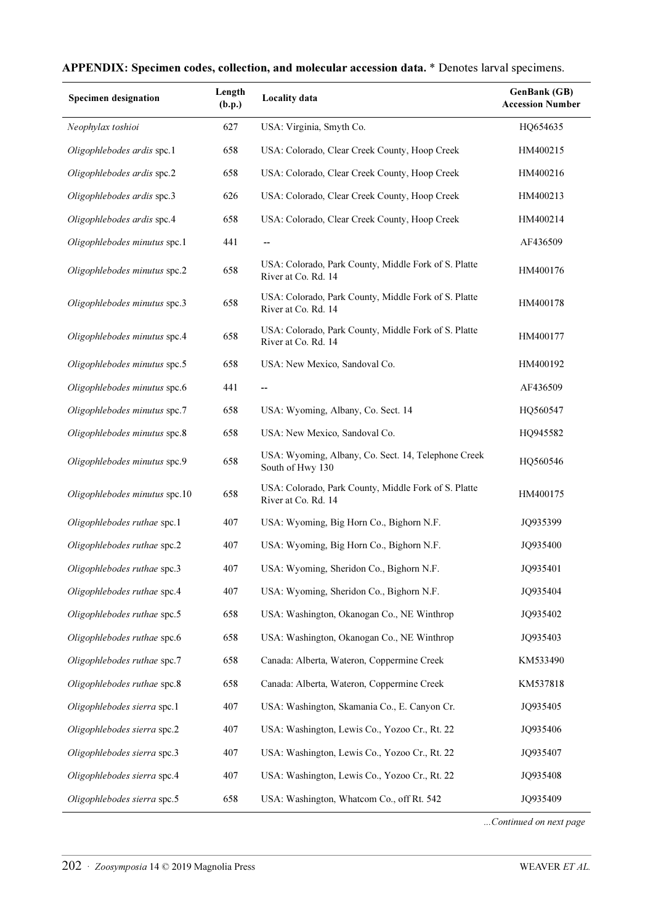| <b>Specimen designation</b>   | Length<br>(b.p.) | Locality data                                                               | <b>GenBank</b> (GB)<br><b>Accession Number</b> |
|-------------------------------|------------------|-----------------------------------------------------------------------------|------------------------------------------------|
| Neophylax toshioi             | 627              | USA: Virginia, Smyth Co.                                                    | HQ654635                                       |
| Oligophlebodes ardis spc.1    | 658              | USA: Colorado, Clear Creek County, Hoop Creek                               | HM400215                                       |
| Oligophlebodes ardis spc.2    | 658              | USA: Colorado, Clear Creek County, Hoop Creek                               | HM400216                                       |
| Oligophlebodes ardis spc.3    | 626              | USA: Colorado, Clear Creek County, Hoop Creek                               | HM400213                                       |
| Oligophlebodes ardis spc.4    | 658              | USA: Colorado, Clear Creek County, Hoop Creek                               | HM400214                                       |
| Oligophlebodes minutus spc.1  | 441              | --                                                                          | AF436509                                       |
| Oligophlebodes minutus spc.2  | 658              | USA: Colorado, Park County, Middle Fork of S. Platte<br>River at Co. Rd. 14 | HM400176                                       |
| Oligophlebodes minutus spc.3  | 658              | USA: Colorado, Park County, Middle Fork of S. Platte<br>River at Co. Rd. 14 | HM400178                                       |
| Oligophlebodes minutus spc.4  | 658              | USA: Colorado, Park County, Middle Fork of S. Platte<br>River at Co. Rd. 14 | HM400177                                       |
| Oligophlebodes minutus spc.5  | 658              | USA: New Mexico, Sandoval Co.                                               | HM400192                                       |
| Oligophlebodes minutus spc.6  | 441              | $\overline{\phantom{a}}$                                                    | AF436509                                       |
| Oligophlebodes minutus spc.7  | 658              | USA: Wyoming, Albany, Co. Sect. 14                                          | HQ560547                                       |
| Oligophlebodes minutus spc.8  | 658              | USA: New Mexico, Sandoval Co.                                               | HQ945582                                       |
| Oligophlebodes minutus spc.9  | 658              | USA: Wyoming, Albany, Co. Sect. 14, Telephone Creek<br>South of Hwy 130     | HQ560546                                       |
| Oligophlebodes minutus spc.10 | 658              | USA: Colorado, Park County, Middle Fork of S. Platte<br>River at Co. Rd. 14 | HM400175                                       |
| Oligophlebodes ruthae spc.1   | 407              | USA: Wyoming, Big Horn Co., Bighorn N.F.                                    | JQ935399                                       |
| Oligophlebodes ruthae spc.2   | 407              | USA: Wyoming, Big Horn Co., Bighorn N.F.                                    | JQ935400                                       |
| Oligophlebodes ruthae spc.3   | 407              | USA: Wyoming, Sheridon Co., Bighorn N.F.                                    | JQ935401                                       |
| Oligophlebodes ruthae spc.4   | 407              | USA: Wyoming, Sheridon Co., Bighorn N.F.                                    | JQ935404                                       |
| Oligophlebodes ruthae spc.5   | 658              | USA: Washington, Okanogan Co., NE Winthrop                                  | JQ935402                                       |
| Oligophlebodes ruthae spc.6   | 658              | USA: Washington, Okanogan Co., NE Winthrop                                  | JQ935403                                       |
| Oligophlebodes ruthae spc.7   | 658              | Canada: Alberta, Wateron, Coppermine Creek                                  | KM533490                                       |
| Oligophlebodes ruthae spc.8   | 658              | Canada: Alberta, Wateron, Coppermine Creek                                  | KM537818                                       |
| Oligophlebodes sierra spc.1   | 407              | USA: Washington, Skamania Co., E. Canyon Cr.                                | JQ935405                                       |
| Oligophlebodes sierra spc.2   | 407              | USA: Washington, Lewis Co., Yozoo Cr., Rt. 22                               | JQ935406                                       |
| Oligophlebodes sierra spc.3   | 407              | USA: Washington, Lewis Co., Yozoo Cr., Rt. 22                               | JQ935407                                       |
| Oligophlebodes sierra spc.4   | 407              | USA: Washington, Lewis Co., Yozoo Cr., Rt. 22                               | JQ935408                                       |
| Oligophlebodes sierra spc.5   | 658              | USA: Washington, Whatcom Co., off Rt. 542                                   | JQ935409                                       |

# APPENDIX: Specimen codes, collection, and molecular accession data. \* Denotes larval specimens.

...Continued on next page